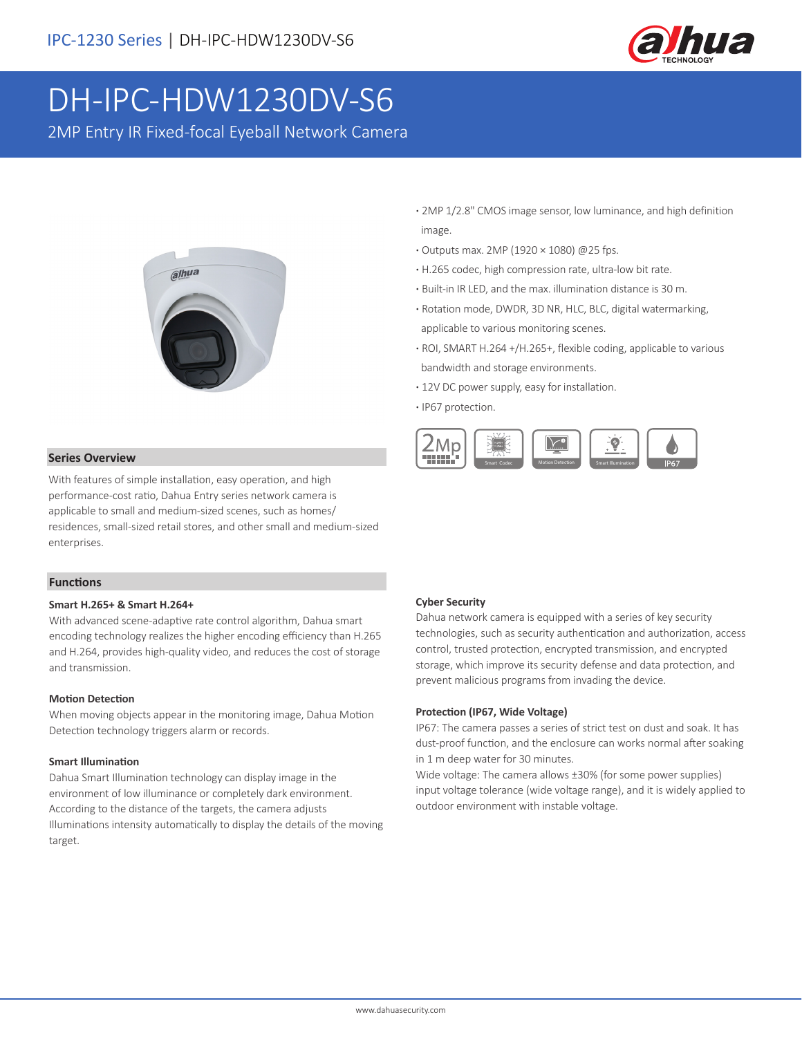

# DH-IPC-HDW1230DV-S6

2MP Entry IR Fixed-focal Eyeball Network Camera



- **·** 2MP 1/2.8" CMOS image sensor, low luminance, and high definition image.
- **·** Outputs max. 2MP (1920 × 1080) @25 fps.
- **·** H.265 codec, high compression rate, ultra-low bit rate.
- **·** Built-in IR LED, and the max. illumination distance is 30 m.
- **·** Rotation mode, DWDR, 3D NR, HLC, BLC, digital watermarking, applicable to various monitoring scenes.
- **·** ROI, SMART H.264 +/H.265+, flexible coding, applicable to various bandwidth and storage environments.
- **·** 12V DC power supply, easy for installation.
- **·** IP67 protection.



# **Series Overview**

With features of simple installation, easy operation, and high performance-cost ratio, Dahua Entry series network camera is applicable to small and medium-sized scenes, such as homes/ residences, small-sized retail stores, and other small and medium-sized enterprises.

#### **Functions**

#### **Smart H.265+ & Smart H.264+**

With advanced scene-adaptive rate control algorithm, Dahua smart encoding technology realizes the higher encoding efficiency than H.265 and H.264, provides high-quality video, and reduces the cost of storage and transmission.

#### **Motion Detection**

When moving objects appear in the monitoring image, Dahua Motion Detection technology triggers alarm or records.

#### **Smart Illumination**

Dahua Smart Illumination technology can display image in the environment of low illuminance or completely dark environment. According to the distance of the targets, the camera adjusts Illuminations intensity automatically to display the details of the moving target.

# **Cyber Security**

Dahua network camera is equipped with a series of key security technologies, such as security authentication and authorization, access control, trusted protection, encrypted transmission, and encrypted storage, which improve its security defense and data protection, and prevent malicious programs from invading the device.

#### **Protection (IP67, Wide Voltage)**

IP67: The camera passes a series of strict test on dust and soak. It has dust-proof function, and the enclosure can works normal after soaking in 1 m deep water for 30 minutes.

Wide voltage: The camera allows ±30% (for some power supplies) input voltage tolerance (wide voltage range), and it is widely applied to outdoor environment with instable voltage.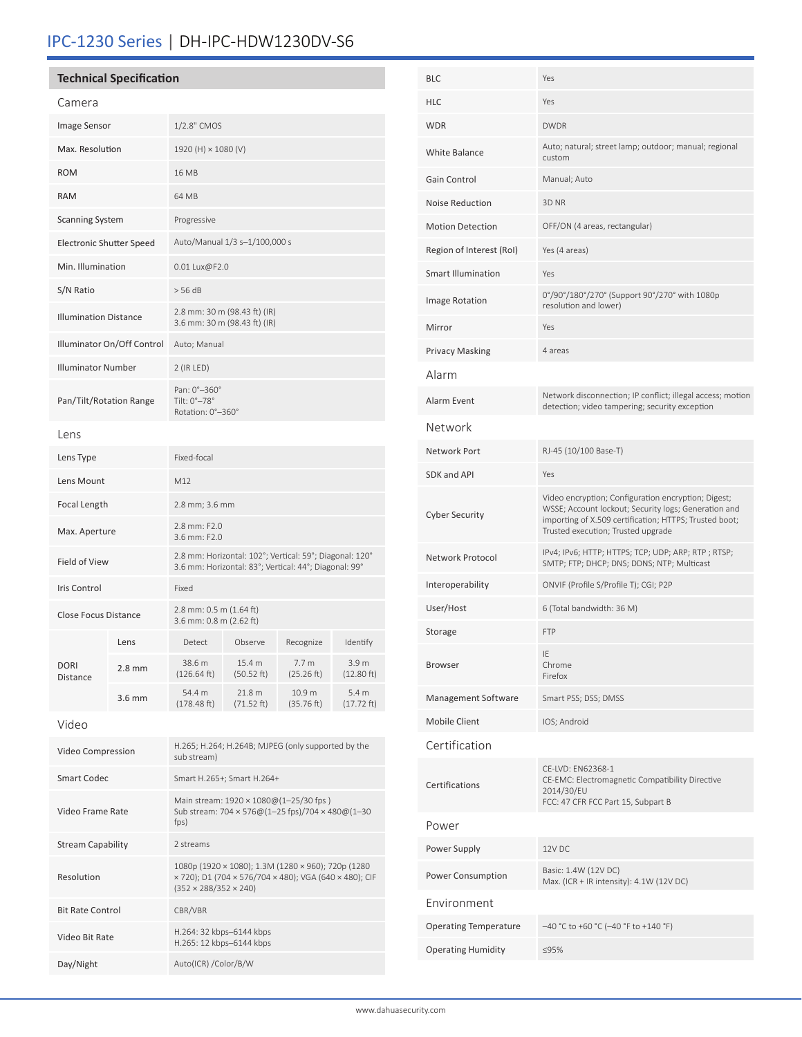# IPC-1230 Series | DH-IPC-HDW1230DV-S6

| <b>Technical Specification</b>  |                  |                                                                                                                                                   |                      |                                |                     |  |  |
|---------------------------------|------------------|---------------------------------------------------------------------------------------------------------------------------------------------------|----------------------|--------------------------------|---------------------|--|--|
| Camera                          |                  |                                                                                                                                                   |                      |                                |                     |  |  |
| Image Sensor                    |                  | 1/2.8" CMOS                                                                                                                                       |                      |                                |                     |  |  |
| Max. Resolution                 |                  | 1920 (H) × 1080 (V)                                                                                                                               |                      |                                |                     |  |  |
| <b>ROM</b>                      |                  | 16 MB                                                                                                                                             |                      |                                |                     |  |  |
| <b>RAM</b>                      |                  | 64 MB                                                                                                                                             |                      |                                |                     |  |  |
| <b>Scanning System</b>          |                  | Progressive                                                                                                                                       |                      |                                |                     |  |  |
| <b>Electronic Shutter Speed</b> |                  | Auto/Manual 1/3 s–1/100,000 s                                                                                                                     |                      |                                |                     |  |  |
| Min. Illumination               |                  | 0.01 Lux@F2.0                                                                                                                                     |                      |                                |                     |  |  |
| S/N Ratio                       |                  | > 56 dB                                                                                                                                           |                      |                                |                     |  |  |
| <b>Illumination Distance</b>    |                  | 2.8 mm: 30 m (98.43 ft) (IR)<br>3.6 mm: 30 m (98.43 ft) (IR)                                                                                      |                      |                                |                     |  |  |
| Illuminator On/Off Control      |                  | Auto; Manual                                                                                                                                      |                      |                                |                     |  |  |
| <b>Illuminator Number</b>       |                  | 2 (IR LED)                                                                                                                                        |                      |                                |                     |  |  |
| Pan/Tilt/Rotation Range         |                  | Pan: 0°-360°<br>Tilt: 0°-78°<br>Rotation: 0°-360°                                                                                                 |                      |                                |                     |  |  |
| Lens                            |                  |                                                                                                                                                   |                      |                                |                     |  |  |
| Lens Type                       |                  | Fixed-focal                                                                                                                                       |                      |                                |                     |  |  |
| Lens Mount                      |                  | M12                                                                                                                                               |                      |                                |                     |  |  |
| <b>Focal Length</b>             |                  | 2.8 mm; 3.6 mm                                                                                                                                    |                      |                                |                     |  |  |
| Max. Aperture                   |                  | 2.8 mm: F2.0<br>3.6 mm: F2.0                                                                                                                      |                      |                                |                     |  |  |
| Field of View                   |                  | 2.8 mm: Horizontal: 102°; Vertical: 59°; Diagonal: 120°<br>3.6 mm: Horizontal: 83°; Vertical: 44°; Diagonal: 99°                                  |                      |                                |                     |  |  |
| Iris Control                    |                  | Fixed                                                                                                                                             |                      |                                |                     |  |  |
| <b>Close Focus Distance</b>     |                  | 2.8 mm: 0.5 m (1.64 ft)<br>3.6 mm: 0.8 m (2.62 ft)                                                                                                |                      |                                |                     |  |  |
|                                 | Lens             | Detect                                                                                                                                            | Observe              | Recognize                      | Identify            |  |  |
| <b>DORI</b><br>Distance         | $2.8 \text{ mm}$ | 38.6 m<br>(126.64 ft)                                                                                                                             | 15.4 m<br>(50.52 ft) | 7.7 <sub>m</sub><br>(25.26 ft) | 3.9 m<br>(12.80 ft) |  |  |
|                                 | $3.6$ mm         | 54.4 m<br>(178.48 ft)                                                                                                                             | 21.8 m<br>(71.52 ft) | 10.9 m<br>(35.76 ft)           | 5.4 m<br>(17.72 ft) |  |  |
| Video                           |                  |                                                                                                                                                   |                      |                                |                     |  |  |
| Video Compression               |                  | H.265; H.264; H.264B; MJPEG (only supported by the<br>sub stream)                                                                                 |                      |                                |                     |  |  |
| <b>Smart Codec</b>              |                  | Smart H.265+; Smart H.264+                                                                                                                        |                      |                                |                     |  |  |
| Video Frame Rate                |                  | Main stream: 1920 × 1080@(1-25/30 fps)<br>Sub stream: 704 × 576@(1-25 fps)/704 × 480@(1-30<br>$f$ ps)                                             |                      |                                |                     |  |  |
| <b>Stream Capability</b>        |                  | 2 streams                                                                                                                                         |                      |                                |                     |  |  |
| Resolution                      |                  | 1080p (1920 × 1080); 1.3M (1280 × 960); 720p (1280<br>× 720); D1 (704 × 576/704 × 480); VGA (640 × 480); CIF<br>$(352 \times 288/352 \times 240)$ |                      |                                |                     |  |  |
| <b>Bit Rate Control</b>         |                  | CBR/VBR                                                                                                                                           |                      |                                |                     |  |  |
| Video Bit Rate                  |                  | H.264: 32 kbps-6144 kbps<br>H.265: 12 kbps-6144 kbps                                                                                              |                      |                                |                     |  |  |
| Day/Night                       |                  | Auto(ICR) / Color/B/W                                                                                                                             |                      |                                |                     |  |  |

| Yes                                                                                                                                                                                                         |  |  |
|-------------------------------------------------------------------------------------------------------------------------------------------------------------------------------------------------------------|--|--|
| Yes                                                                                                                                                                                                         |  |  |
| <b>DWDR</b>                                                                                                                                                                                                 |  |  |
| Auto; natural; street lamp; outdoor; manual; regional<br>custom                                                                                                                                             |  |  |
| Manual; Auto                                                                                                                                                                                                |  |  |
| 3D NR                                                                                                                                                                                                       |  |  |
| OFF/ON (4 areas, rectangular)                                                                                                                                                                               |  |  |
| Yes (4 areas)                                                                                                                                                                                               |  |  |
| Yes                                                                                                                                                                                                         |  |  |
| 0°/90°/180°/270° (Support 90°/270° with 1080p<br>resolution and lower)                                                                                                                                      |  |  |
| Yes                                                                                                                                                                                                         |  |  |
| 4 areas                                                                                                                                                                                                     |  |  |
|                                                                                                                                                                                                             |  |  |
| Network disconnection; IP conflict; illegal access; motion<br>detection; video tampering; security exception                                                                                                |  |  |
|                                                                                                                                                                                                             |  |  |
| RJ-45 (10/100 Base-T)                                                                                                                                                                                       |  |  |
| Yes                                                                                                                                                                                                         |  |  |
| Video encryption; Configuration encryption; Digest;<br>WSSE; Account lockout; Security logs; Generation and<br>importing of X.509 certification; HTTPS; Trusted boot;<br>Trusted execution; Trusted upgrade |  |  |
| IPv4; IPv6; HTTP; HTTPS; TCP; UDP; ARP; RTP; RTSP;<br>SMTP; FTP; DHCP; DNS; DDNS; NTP; Multicast                                                                                                            |  |  |
| ONVIF (Profile S/Profile T); CGI; P2P                                                                                                                                                                       |  |  |
| 6 (Total bandwidth: 36 M)                                                                                                                                                                                   |  |  |
| <b>FTP</b>                                                                                                                                                                                                  |  |  |
| IE<br>Chrome<br>Firefox                                                                                                                                                                                     |  |  |
| Smart PSS; DSS; DMSS                                                                                                                                                                                        |  |  |
| IOS; Android                                                                                                                                                                                                |  |  |
|                                                                                                                                                                                                             |  |  |
| CE-LVD: EN62368-1<br>CE-EMC: Electromagnetic Compatibility Directive<br>2014/30/EU<br>FCC: 47 CFR FCC Part 15, Subpart B                                                                                    |  |  |
|                                                                                                                                                                                                             |  |  |
| 12V DC                                                                                                                                                                                                      |  |  |
| Basic: 1.4W (12V DC)<br>Max. (ICR + IR intensity): 4.1W (12V DC)                                                                                                                                            |  |  |
|                                                                                                                                                                                                             |  |  |
| -40 °C to +60 °C (-40 °F to +140 °F)                                                                                                                                                                        |  |  |
| ≤95%                                                                                                                                                                                                        |  |  |
|                                                                                                                                                                                                             |  |  |